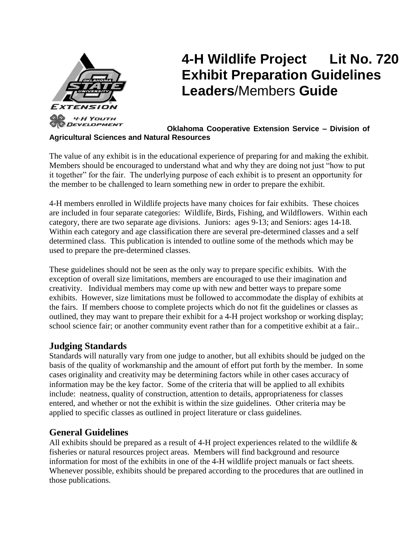

# **4-H Wildlife Project Lit No. 720 Exhibit Preparation Guidelines Leaders**/Members **Guide**

#### **Oklahoma Cooperative Extension Service – Division of Agricultural Sciences and Natural Resources**

The value of any exhibit is in the educational experience of preparing for and making the exhibit. Members should be encouraged to understand what and why they are doing not just "how to put it together" for the fair. The underlying purpose of each exhibit is to present an opportunity for the member to be challenged to learn something new in order to prepare the exhibit.

4-H members enrolled in Wildlife projects have many choices for fair exhibits. These choices are included in four separate categories: Wildlife, Birds, Fishing, and Wildflowers. Within each category, there are two separate age divisions. Juniors: ages 9-13; and Seniors: ages 14-18. Within each category and age classification there are several pre-determined classes and a self determined class. This publication is intended to outline some of the methods which may be used to prepare the pre-determined classes.

These guidelines should not be seen as the only way to prepare specific exhibits. With the exception of overall size limitations, members are encouraged to use their imagination and creativity. Individual members may come up with new and better ways to prepare some exhibits. However, size limitations must be followed to accommodate the display of exhibits at the fairs. If members choose to complete projects which do not fit the guidelines or classes as outlined, they may want to prepare their exhibit for a 4-H project workshop or working display; school science fair; or another community event rather than for a competitive exhibit at a fair..

# **Judging Standards**

Standards will naturally vary from one judge to another, but all exhibits should be judged on the basis of the quality of workmanship and the amount of effort put forth by the member. In some cases originality and creativity may be determining factors while in other cases accuracy of information may be the key factor. Some of the criteria that will be applied to all exhibits include: neatness, quality of construction, attention to details, appropriateness for classes entered, and whether or not the exhibit is within the size guidelines. Other criteria may be applied to specific classes as outlined in project literature or class guidelines.

# **General Guidelines**

All exhibits should be prepared as a result of 4-H project experiences related to the wildlife & fisheries or natural resources project areas. Members will find background and resource information for most of the exhibits in one of the 4-H wildlife project manuals or fact sheets. Whenever possible, exhibits should be prepared according to the procedures that are outlined in those publications.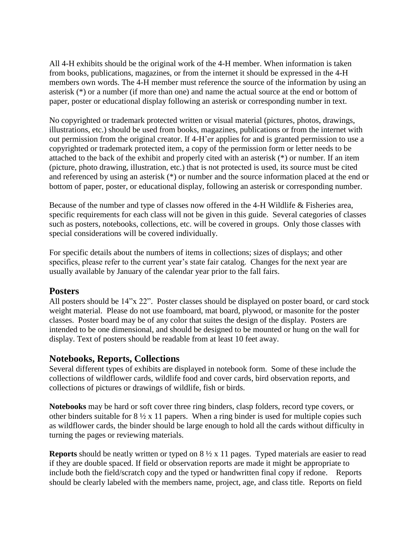All 4-H exhibits should be the original work of the 4-H member. When information is taken from books, publications, magazines, or from the internet it should be expressed in the 4-H members own words. The 4-H member must reference the source of the information by using an asterisk (\*) or a number (if more than one) and name the actual source at the end or bottom of paper, poster or educational display following an asterisk or corresponding number in text.

No copyrighted or trademark protected written or visual material (pictures, photos, drawings, illustrations, etc.) should be used from books, magazines, publications or from the internet with out permission from the original creator. If 4-H'er applies for and is granted permission to use a copyrighted or trademark protected item, a copy of the permission form or letter needs to be attached to the back of the exhibit and properly cited with an asterisk (\*) or number. If an item (picture, photo drawing, illustration, etc.) that is not protected is used, its source must be cited and referenced by using an asterisk (\*) or number and the source information placed at the end or bottom of paper, poster, or educational display, following an asterisk or corresponding number.

Because of the number and type of classes now offered in the 4-H Wildlife & Fisheries area, specific requirements for each class will not be given in this guide. Several categories of classes such as posters, notebooks, collections, etc. will be covered in groups. Only those classes with special considerations will be covered individually.

For specific details about the numbers of items in collections; sizes of displays; and other specifics, please refer to the current year's state fair catalog. Changes for the next year are usually available by January of the calendar year prior to the fall fairs.

## **Posters**

All posters should be 14"x 22". Poster classes should be displayed on poster board, or card stock weight material. Please do not use foamboard, mat board, plywood, or masonite for the poster classes. Poster board may be of any color that suites the design of the display. Posters are intended to be one dimensional, and should be designed to be mounted or hung on the wall for display. Text of posters should be readable from at least 10 feet away.

## **Notebooks, Reports, Collections**

Several different types of exhibits are displayed in notebook form. Some of these include the collections of wildflower cards, wildlife food and cover cards, bird observation reports, and collections of pictures or drawings of wildlife, fish or birds.

**Notebooks** may be hard or soft cover three ring binders, clasp folders, record type covers, or other binders suitable for  $8\frac{1}{2}x$  11 papers. When a ring binder is used for multiple copies such as wildflower cards, the binder should be large enough to hold all the cards without difficulty in turning the pages or reviewing materials.

**Reports** should be neatly written or typed on 8 ½ x 11 pages. Typed materials are easier to read if they are double spaced. If field or observation reports are made it might be appropriate to include both the field/scratch copy and the typed or handwritten final copy if redone. Reports should be clearly labeled with the members name, project, age, and class title. Reports on field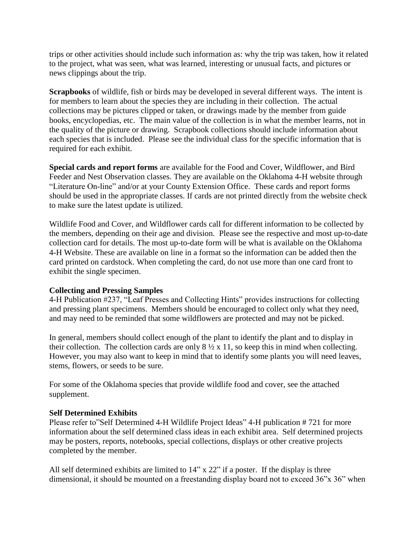trips or other activities should include such information as: why the trip was taken, how it related to the project, what was seen, what was learned, interesting or unusual facts, and pictures or news clippings about the trip.

**Scrapbooks** of wildlife, fish or birds may be developed in several different ways. The intent is for members to learn about the species they are including in their collection. The actual collections may be pictures clipped or taken, or drawings made by the member from guide books, encyclopedias, etc. The main value of the collection is in what the member learns, not in the quality of the picture or drawing. Scrapbook collections should include information about each species that is included. Please see the individual class for the specific information that is required for each exhibit.

**Special cards and report forms** are available for the Food and Cover, Wildflower, and Bird Feeder and Nest Observation classes. They are available on the Oklahoma 4-H website through "Literature On-line" and/or at your County Extension Office. These cards and report forms should be used in the appropriate classes. If cards are not printed directly from the website check to make sure the latest update is utilized.

Wildlife Food and Cover, and Wildflower cards call for different information to be collected by the members, depending on their age and division. Please see the respective and most up-to-date collection card for details. The most up-to-date form will be what is available on the Oklahoma 4-H Website. These are available on line in a format so the information can be added then the card printed on cardstock. When completing the card, do not use more than one card front to exhibit the single specimen.

#### **Collecting and Pressing Samples**

4-H Publication #237, "Leaf Presses and Collecting Hints" provides instructions for collecting and pressing plant specimens. Members should be encouraged to collect only what they need, and may need to be reminded that some wildflowers are protected and may not be picked.

In general, members should collect enough of the plant to identify the plant and to display in their collection. The collection cards are only  $8\frac{1}{2} \times 11$ , so keep this in mind when collecting. However, you may also want to keep in mind that to identify some plants you will need leaves, stems, flowers, or seeds to be sure.

For some of the Oklahoma species that provide wildlife food and cover, see the attached supplement.

#### **Self Determined Exhibits**

Please refer to"Self Determined 4-H Wildlife Project Ideas" 4-H publication # 721 for more information about the self determined class ideas in each exhibit area. Self determined projects may be posters, reports, notebooks, special collections, displays or other creative projects completed by the member.

All self determined exhibits are limited to 14" x 22" if a poster. If the display is three dimensional, it should be mounted on a freestanding display board not to exceed 36"x 36" when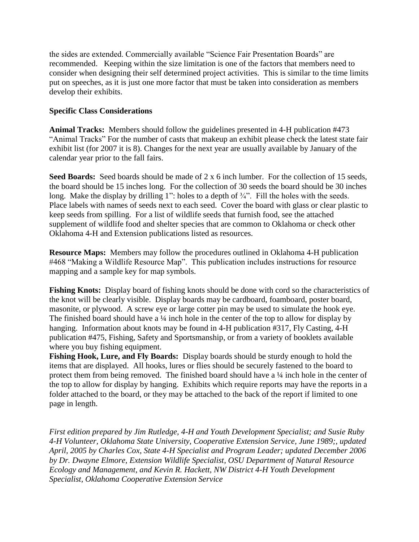the sides are extended. Commercially available "Science Fair Presentation Boards" are recommended. Keeping within the size limitation is one of the factors that members need to consider when designing their self determined project activities. This is similar to the time limits put on speeches, as it is just one more factor that must be taken into consideration as members develop their exhibits.

### **Specific Class Considerations**

**Animal Tracks:** Members should follow the guidelines presented in 4-H publication #473 "Animal Tracks" For the number of casts that makeup an exhibit please check the latest state fair exhibit list (for 2007 it is 8). Changes for the next year are usually available by January of the calendar year prior to the fall fairs.

**Seed Boards:** Seed boards should be made of 2 x 6 inch lumber. For the collection of 15 seeds, the board should be 15 inches long. For the collection of 30 seeds the board should be 30 inches long. Make the display by drilling 1": holes to a depth of  $\frac{3}{4}$ ". Fill the holes with the seeds. Place labels with names of seeds next to each seed. Cover the board with glass or clear plastic to keep seeds from spilling. For a list of wildlife seeds that furnish food, see the attached supplement of wildlife food and shelter species that are common to Oklahoma or check other Oklahoma 4-H and Extension publications listed as resources.

**Resource Maps:** Members may follow the procedures outlined in Oklahoma 4-H publication #468 "Making a Wildlife Resource Map". This publication includes instructions for resource mapping and a sample key for map symbols.

**Fishing Knots:** Display board of fishing knots should be done with cord so the characteristics of the knot will be clearly visible. Display boards may be cardboard, foamboard, poster board, masonite, or plywood. A screw eye or large cotter pin may be used to simulate the hook eye. The finished board should have a <sup>1</sup>/4 inch hole in the center of the top to allow for display by hanging. Information about knots may be found in 4-H publication #317, Fly Casting, 4-H publication #475, Fishing, Safety and Sportsmanship, or from a variety of booklets available where you buy fishing equipment.

**Fishing Hook, Lure, and Fly Boards:** Display boards should be sturdy enough to hold the items that are displayed. All hooks, lures or flies should be securely fastened to the board to protect them from being removed. The finished board should have a  $\frac{1}{4}$  inch hole in the center of the top to allow for display by hanging. Exhibits which require reports may have the reports in a folder attached to the board, or they may be attached to the back of the report if limited to one page in length.

*First edition prepared by Jim Rutledge, 4-H and Youth Development Specialist; and Susie Ruby 4-H Volunteer, Oklahoma State University, Cooperative Extension Service, June 1989;, updated April, 2005 by Charles Cox, State 4-H Specialist and Program Leader; updated December 2006 by Dr. Dwayne Elmore, Extension Wildlife Specialist, OSU Department of Natural Resource Ecology and Management, and Kevin R. Hackett, NW District 4-H Youth Development Specialist, Oklahoma Cooperative Extension Service*